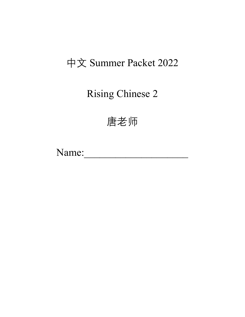## 中文 Summer Packet 2022

Rising Chinese 2

唐老师

Name: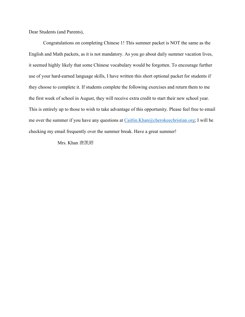Dear Students (and Parents),

Congratulations on completing Chinese 1! This summer packet is NOT the same as the English and Math packets, as it is not mandatory. As you go about daily summer vacation lives, it seemed highly likely that some Chinese vocabulary would be forgotten. To encourage further use of your hard-earned language skills, I have written this short optional packet for students if they choose to complete it. If students complete the following exercises and return them to me the first week of school in August, they will receive extra credit to start their new school year. This is entirely up to those to wish to take advantage of this opportunity. Please feel free to email me over the summer if you have any questions at  $Caitlin.Khan@cherokechristian.org; I will be$ checking my email frequently over the summer break. Have a great summer!

Mrs. Khan 唐凯婷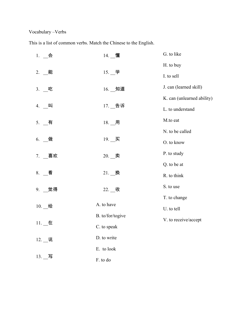## Vocabulary –Verbs

This is a list of common verbs. Match the Chinese to the English.

| $1.$ 会                        | 14. 懂                 | G. to like                 |
|-------------------------------|-----------------------|----------------------------|
|                               |                       | H. to buy                  |
| 2. __ 能                       | $15.$ 一学              | I. to sell                 |
| 3. __吃                        | $16.$ $\_\$ 知道        | J. can (learned skill)     |
|                               |                       | K. can (unlearned ability) |
| 4. 叫                          | $17.$ $\_$ 告诉         | L. to understand           |
| 5. $\overline{\phantom{0}}$ 有 | $18.$ $\_$ 用          | M.to eat                   |
|                               |                       | N. to be called            |
| 做<br>6.                       | $19.$ $\_\mathbb{R}$  | O. to know                 |
| 7. 喜欢                         | $20.$ $\qquad \n$   卖 | P. to study                |
|                               |                       | Q. to be at                |
| $8.$ $\equiv$ 看               | $21.$ $M$             | R. to think                |
| 9. 觉得                         | $22.$ $\_\ \$         | S. to use                  |
|                               |                       | T. to change               |
| $10.$ $\_\$                   | A. to have            | U. to tell                 |
|                               | B. to/for/togive      | V. to receive/accept       |
| $11.$ <u>一</u> 在              | C. to speak           |                            |
| $12.$ $\__$ 说                 | D. to write           |                            |
|                               | E. to look            |                            |
| $13.$ 写                       | F. to do              |                            |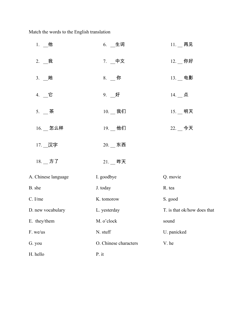Match the words to the English translation

| 1. $M$                       | 6. 生词                 | 11. 再见                         |
|------------------------------|-----------------------|--------------------------------|
| $2.$ $\equiv$ 我              | 7. 一中文                | $12.$ __ 你好                    |
| $3.$ _她                      | $8.$ 一你               | $13.$ $\_\,\oplus\,\mathbb{B}$ |
| 4. 一它                        | $9.$ 一好               | $14.$ __ 点                     |
| 5. $\overline{\mathbf{a}}$ 茶 | $10.$ $\_\$ 我们        | $15.$ 一明天                      |
| $16.$ _ 怎么样                  | $19.$ $\_\$ 他们        | $22.$ $-$ 今天                   |
| 17. _汉字                      | $20.$ 一东西             |                                |
| $18.$ $\_$ 方了                | $21.$ _ 昨天            |                                |
| A. Chinese language          | I. goodbye            | Q. movie                       |
| B. she                       | J. today              | R. tea                         |
| C. I/me                      | K. tomorow            | S. good                        |
| D. new vocabulary            | L. yesterday          | T. is that ok/how does that    |
| E. they/them                 | M. o'clock            | sound                          |
| F. we/us                     | N. stuff              | U. panicked                    |
| G. you                       | O. Chinese characters | V. he                          |
| H. hello                     | P. it                 |                                |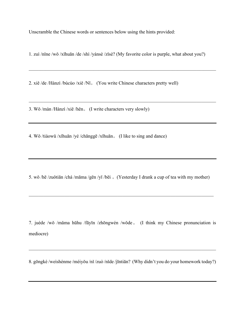Unscramble the Chinese words or sentences below using the hints provided:

1. zuì /nǐne /wǒ /xǐhuān /de /shì /yánsè /zǐsè? (My favorite color is purple, what about you?)

2. xiě /de /Hànzì /búcùo /xiě /Nǐ。 (You write Chinese characters pretty well)

3. Wǒ /màn /Hànzì /xiě /hěn。 (I write characters very slowly)

4. Wǒ /tiàowǔ /xǐhuān /yé /chānggē /xǐhuān。 (I like to sing and dance)

5. wǒ /hē /zuǒtiān /chá /māma /gēn /yī /bēi 。(Yesterday I drank a cup of tea with my mother)

7. juéde /wǒ /mǎma hūhu /fāyīn /zhōngwén /wǒde。 (I think my Chinese pronunciation is mediocre)

8. gōngkè /weìshénme /méiyǒu /nǐ /zuò /nǐde /jīntiān? (Why didn't you do your homework today?)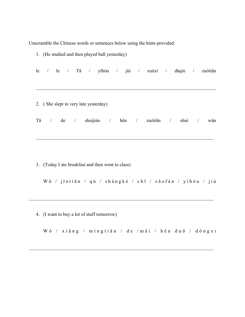Unscramble the Chinese words or sentences below using the hints provided:

|    |                          |  | 1. (He studied and then played ball yesterday)                                        |  |  |                   |          |            |         |
|----|--------------------------|--|---------------------------------------------------------------------------------------|--|--|-------------------|----------|------------|---------|
| le |                          |  | $\frac{1}{2}$ le $\frac{1}{2}$ Tā $\frac{1}{2}$ yīhòu $\frac{1}{2}$ jiù $\frac{1}{2}$ |  |  | xuéxí / dǎqiú     |          | $\sqrt{2}$ | zuótiān |
|    |                          |  |                                                                                       |  |  |                   |          |            |         |
|    |                          |  | 2. (She slept in very late yesterday)                                                 |  |  |                   |          |            |         |
| Tā | $\overline{\phantom{a}}$ |  | de / shuìjiào                                                                         |  |  | / hěn / zuótiān / | shui $/$ |            | wăn     |
|    |                          |  |                                                                                       |  |  |                   |          |            |         |

3. (Today I ate breakfast and then went to class)

Wǒ / jīntiān / qù / shàngkè / chī / zǎofàn / yíhòu / jiù

4. (I want to buy a lot of stuff tomorrow)

Wǒ / xiǎng / míngtiān / de / mǎi / hěn duō / dōngxi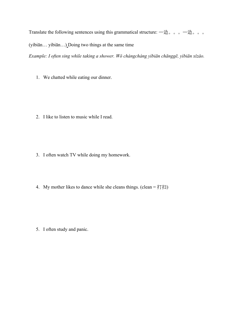Translate the following sentences using this grammatical structure:  $-\underline{\uplus}$  。。。一边。。。

(yìbiān… yìbiān…) Doing two things at the same time

*Example: I often sing while taking a shower. Wǒ chángcháng yìbiān chānggē, yìbiān xǐzǎo.*

1. We chatted while eating our dinner.

2. I like to listen to music while I read.

- 3. I often watch TV while doing my homework.
- 4. My mother likes to dance while she cleans things. (clean = 打扫)

5. I often study and panic.